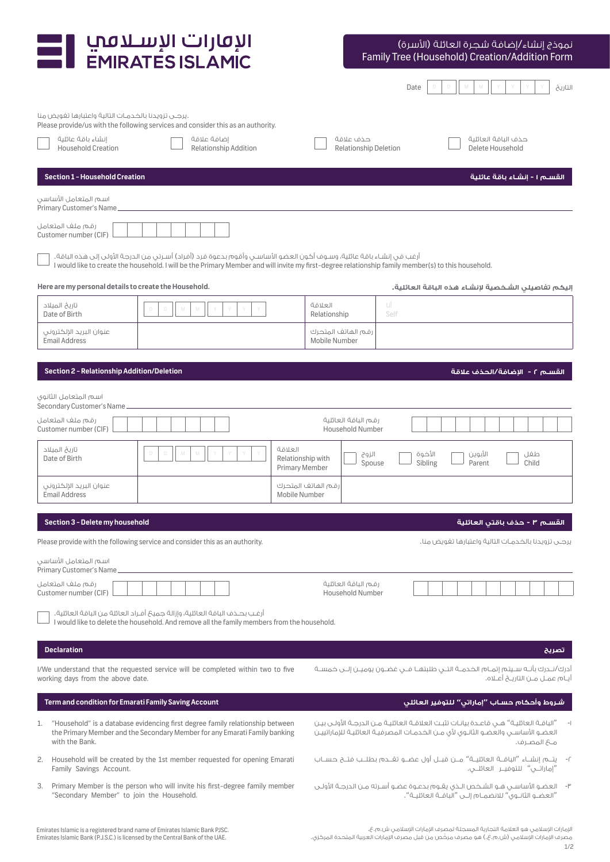| الإقارات الإسلافي<br><b>EMIRATES ISLAMIC</b>                                                                                                                                                                                                                                 |                                                                          | نموذج إنشاء /إضافة شجرة العائلة (الأسرة)<br>Family Tree (Household) Creation/Addition Form                                                                                                             |
|------------------------------------------------------------------------------------------------------------------------------------------------------------------------------------------------------------------------------------------------------------------------------|--------------------------------------------------------------------------|--------------------------------------------------------------------------------------------------------------------------------------------------------------------------------------------------------|
|                                                                                                                                                                                                                                                                              |                                                                          | Date<br>التاريخ                                                                                                                                                                                        |
| Please provide/us with the following services and consider this as an authority.<br>إنشاء باقة عائلية<br>إضافة علاقة<br><b>Household Creation</b><br>Relationship Addition                                                                                                   | حذف علاقة<br><b>Relationship Deletion</b>                                | حذف الباقة العائلية<br>Delete Household                                                                                                                                                                |
| Section 1 - Household Creation                                                                                                                                                                                                                                               |                                                                          | القســـم ١ - إنشــاء باقـة عائلية                                                                                                                                                                      |
| اسم المتعامل الأساسي<br>Primary Customer's Name_                                                                                                                                                                                                                             |                                                                          |                                                                                                                                                                                                        |
| رقم ملف المتعامل<br>Customer number (CIF)                                                                                                                                                                                                                                    |                                                                          |                                                                                                                                                                                                        |
| أرغب في إنشاء باقة عائلية، وسـوف أكون العضو الأساسـي وأقوم بدعوة فرد (أفراد) أسـرتي مِن الدرجة الأولى إلى هذه الباقة.<br>I would like to create the household. I will be the Primary Member and will invite my first-degree relationship family member(s) to this household. |                                                                          |                                                                                                                                                                                                        |
| Here are my personal details to create the Household.                                                                                                                                                                                                                        |                                                                          | إليكم تفاصيلى الشخصية لإنشاء هذه الباقة العائلية.                                                                                                                                                      |
| تاريخ الميلاد<br>$\Box$<br>D<br>M<br>M<br>Y<br>Date of Birth                                                                                                                                                                                                                 | العلاقة<br>UÎ<br>Self<br>Relationship                                    |                                                                                                                                                                                                        |
| عنوان البريد الإلكتروني<br><b>Email Address</b>                                                                                                                                                                                                                              | رقم الهاتف المتحرك<br>Mobile Number                                      |                                                                                                                                                                                                        |
| Section 2 - Relationship Addition/Deletion                                                                                                                                                                                                                                   |                                                                          | القســم ٢ - الاضافة/الحذف علاقة                                                                                                                                                                        |
| اسم المتعامل الثانوي<br>Secondary Customer's Name                                                                                                                                                                                                                            |                                                                          |                                                                                                                                                                                                        |
| رقم ملف المتعامل<br>Customer number (CIF)                                                                                                                                                                                                                                    | رقم الباقة العائلية<br><b>Household Number</b>                           |                                                                                                                                                                                                        |
| تاريخ الميلاد<br>$\Box$<br>D<br>Date of Birth                                                                                                                                                                                                                                | العلاقة<br>الزوج<br>Relationship with<br>Spouse<br><b>Primary Member</b> | الأخوة<br>الآبوين<br>طفل<br>Sibling<br>Parent<br>Child                                                                                                                                                 |
| عنوان البريد الإلكتروني<br><b>Email Address</b>                                                                                                                                                                                                                              | رقم الهاتف المتحرك<br>Mobile Number                                      |                                                                                                                                                                                                        |
| Section 3 - Delete my household                                                                                                                                                                                                                                              |                                                                          |                                                                                                                                                                                                        |
| Please provide with the following service and consider this as an authority.                                                                                                                                                                                                 |                                                                          |                                                                                                                                                                                                        |
| اسم المتعامل الأساسي<br>Primary Customer's Name_                                                                                                                                                                                                                             |                                                                          |                                                                                                                                                                                                        |
| رقم ملف المتعامل<br>Customer number (CIF)                                                                                                                                                                                                                                    | رقم الباقة العائلية<br><b>Household Number</b>                           |                                                                                                                                                                                                        |
| أرغب بحـذف الباقة العائلية، وإزالة جميحٌ أفـراد العائلة من الباقة العائلية.<br>I would like to delete the household. And remove all the family members from the household.                                                                                                   |                                                                          |                                                                                                                                                                                                        |
| <b>Declaration</b>                                                                                                                                                                                                                                                           |                                                                          | تصريح                                                                                                                                                                                                  |
| I/We understand that the requested service will be completed within two to five<br>working days from the above date.                                                                                                                                                         |                                                                          | أدرك/نــدرك بأنــه ســيتم إتمــام الخـدمــة التـــى طلبتهــا فـــى غضــون يوميــن إلــى خمســة<br>أيــام عمــل مــن التاريــــخ أعــلاه.                                                               |
| Term and condition for Emarati Family Saving Account                                                                                                                                                                                                                         |                                                                          | شروط وأحكام حساب "إماراتي" للتوفير العائلى                                                                                                                                                             |
| "Household" is a database evidencing first degree family relationship between<br>1.<br>the Primary Member and the Secondary Member for any Emarati Family banking<br>with the Bank.                                                                                          |                                                                          | "الباقـة العائليـة" هــى قاعـدة بيانـات تثبـت العلاقـة العائليـة مـن الدرجـة الأولـى بيـن<br>العضو الأساســــ والعضـو الثانــوى لأى مـــن الخـدمــات المصرفيــة العائليــة للإماراتييــن<br>م& المصرف. |
| Household will be created by the 1st member requested for opening Emarati<br>2.<br>Family Savings Account.                                                                                                                                                                   |                                                                          | ٢-    يتـــم إنشــاء "الباقـــة العائليــة" مـــن قبـــل أول عضــو تقـــدم بطلــب فتــح حســـاب                                                                                                        |
| Primary Member is the person who will invite his first-degree family member<br>3.<br>"Secondary Member" to join the Household.                                                                                                                                               |                                                                          | "العضـو الثانـوي" للانضمـام إلــى "الباقــة العائليـة".                                                                                                                                                |

 $1/2$